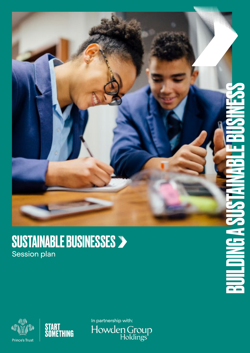### SUSTAINABLE BUSINESSES Session plan





In partnership with:<br>Howden Group<br>Holdings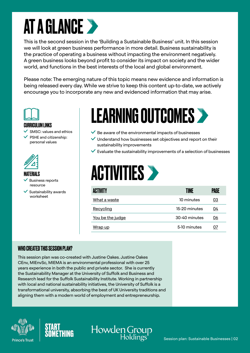# AT A GLANCE

This is the second session in the 'Building a Sustainable Business' unit. In this session we will look at green business performance in more detail. Business sustainability is the practice of operating a business without impacting the environment negatively. A green business looks beyond profit to consider its impact on society and the wider world, and functions in the best interests of the local and global environment.

Please note: The emerging nature of this topic means new evidence and information is being released every day. While we strive to keep this content up-to-date, we actively encourage you to incorporate any new and evidenced information that may arise.



CURRICULUM LINKS

SMSC: values and ethics

 PSHE and citizenship: personal values



MATERIALS

- Business reports resource
- $\checkmark$  Sustainability awards worksheet

## LEARNING OUTCOMES

- $\vee$  Be aware of the environmental impacts of businesses
- $\vee$  Understand how businesses set objectives and report on their sustainability improvements
- $\checkmark$  Evaluate the sustainability improvements of a selection of businesses

### **ACTIVITIES >**

| <b>ACTIVITY</b>  | TIME          | PAGE |
|------------------|---------------|------|
| What a waste     | 10 minutes    | 03   |
| Recycling        | 15-20 minutes | 04   |
| You be the judge | 30-40 minutes | 06   |
| Wrap up          | 5-10 minutes  | 07   |

#### WHO CREATED THIS SESSION PLAN?

This session plan was co-created with Justine Oakes. Justine Oakes CEnv, MIEnvSc, MIEMA is an environmental professional with over 25 years experience in both the public and private sector. She is currently the Sustainability Manager at the University of Suffolk and Business and Research lead for the Suffolk Sustainability Institute. Working in partnership with local and national sustainability initiatives, the University of Suffolk is a transformational university, absorbing the best of UK University traditions and aligning them with a modern world of employment and entrepreneurship.





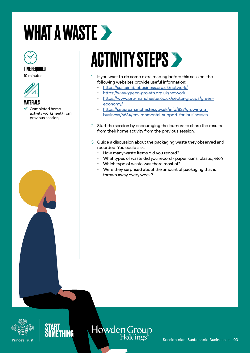# <span id="page-2-0"></span>WHAT A WASTE >



#### TIME REQUIRED

10 minutes



#### **MATFRIALS**

 $\checkmark$  Completed home activity worksheet (from previous session)

# ACTIVITY STEPS

- 1. If you want to do some extra reading before this session, the following websites provide useful information:
	- [https://sustainablebusiness.org.uk/network/](https://secure.manchester.gov.uk/info/827/growing_a_business/6634/environmental_support_for_businesses)
	- [https://www.green-growth.org.uk/network](https://secure.manchester.gov.uk/info/827/growing_a_business/6634/environmental_support_for_businesses)
	- [https://www.pro-manchester.co.uk/sector-groups/green](https://secure.manchester.gov.uk/info/827/growing_a_business/6634/environmental_support_for_businesses)[economy/](https://secure.manchester.gov.uk/info/827/growing_a_business/6634/environmental_support_for_businesses)
	- https://secure.manchester.gov.uk/info/827/growing a [business/6634/environmental\\_support\\_for\\_businesses](https://secure.manchester.gov.uk/info/827/growing_a_business/6634/environmental_support_for_businesses)
- 2. Start the session by encouraging the learners to share the results from their home activity from the previous session.
- 3. Guide a discussion about the packaging waste they observed and recorded. You could ask:
	- How many waste items did you record?
	- What types of waste did you record paper, cans, plastic, etc.?
	- Which type of waste was there most of?
	- Were they surprised about the amount of packaging that is thrown away every week?





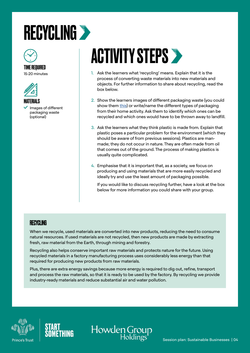### <span id="page-3-0"></span>**RECYCLING >**



#### TIME REQUIRED 15-20 minutes



MATERIALS Images of different packaging waste (optional)

# **ACTIVITY STEPS >**

- 1. Ask the learners what 'recycling' means. Explain that it is the process of converting waste materials into new materials and objects. For further information to share about recycling, read the box below.
- 2. Show the learners images of different packaging waste (you could show them [this\)](https://www.pinterest.co.uk/pin/195836283771076012/) or write/name the different types of packaging from their home activity. Ask them to identify which ones can be recycled and which ones would have to be thrown away to landfill.
- 3. Ask the learners what they think plastic is made from. Explain that plastic poses a particular problem for the environment (which they should be aware of from previous sessions). Plastics are manmade; they do not occur in nature. They are often made from oil that comes out of the ground. The process of making plastics is usually quite complicated.
- 4. Emphasise that it is important that, as a society, we focus on producing and using materials that are more easily recycled and ideally try and use the least amount of packaging possible.

If you would like to discuss recycling further, have a look at the box below for more information you could share with your group.

#### **RECYCLING**

When we recycle, used materials are converted into new products, reducing the need to consume natural resources. If used materials are not recycled, then new products are made by extracting fresh, raw material from the Earth, through mining and forestry.

Recycling also helps conserve important raw materials and protects nature for the future. Using recycled materials in a factory manufacturing process uses considerably less energy than that required for producing new products from raw materials.

Plus, there are extra energy savings because more energy is required to dig out, refine, transport and process the raw materials, so that it is ready to be used by the factory. By recycling we provide industry-ready materials and reduce substantial air and water pollution.

Howden Group





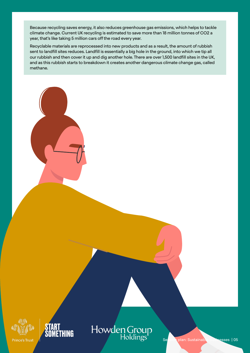Because recycling saves energy, it also reduces greenhouse gas emissions, which helps to tackle climate change. Current UK recycling is estimated to save more than 18 million tonnes of CO2 a year, that's like taking 5 million cars off the road every year.

Recyclable materials are reprocessed into new products and as a result, the amount of rubbish sent to landfill sites reduces. Landfill is essentially a big hole in the ground, into which we tip all our rubbish and then cover it up and dig another hole. There are over 1,500 landfill sites in the UK, and as this rubbish starts to breakdown it creates another dangerous climate change gas, called methane.





### Howden Group<br>Holdings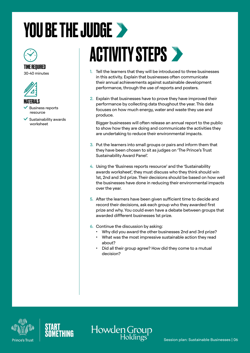# <span id="page-5-0"></span>YOU BE THE JUDGE >



#### TIME REQUIRED 30-40 minutes





- Business reports resource
- $\checkmark$  Sustainability awards worksheet

## **ACTIVITY STEPS >**

- 1. Tell the learners that they will be introduced to three businesses in this activity. Explain that businesses often communicate their annual achievements against sustainable development performance, through the use of reports and posters.
- 2. Explain that businesses have to prove they have improved their performance by collecting data thoughout the year. This data focuses on how much energy, water and waste they use and produce.

Bigger businesses will often release an annual report to the public to show how they are doing and communicate the activities they are undertaking to reduce their environmental impacts.

- 3. Put the learners into small groups or pairs and inform them that they have been chosen to sit as judges on 'The Prince's Trust Sustainability Award Panel'.
- 4. Using the 'Business reports resource' and the 'Sustainability awards worksheet', they must discuss who they think should win 1st, 2nd and 3rd prize. Their decisions should be based on how well the businesses have done in reducing their environmental impacts over the year.
- 5. After the learners have been given sufficient time to decide and record their decisions, ask each group who they awarded first prize and why. You could even have a debate between groups that awarded diffferent businesses 1st prize.
- 6. Continue the discussion by asking:
	- Why did you award the other businesses 2nd and 3rd prize?
	- What was the most impressive sustainable action they read about?
	- Did all their group agree? How did they come to a mutual decision?